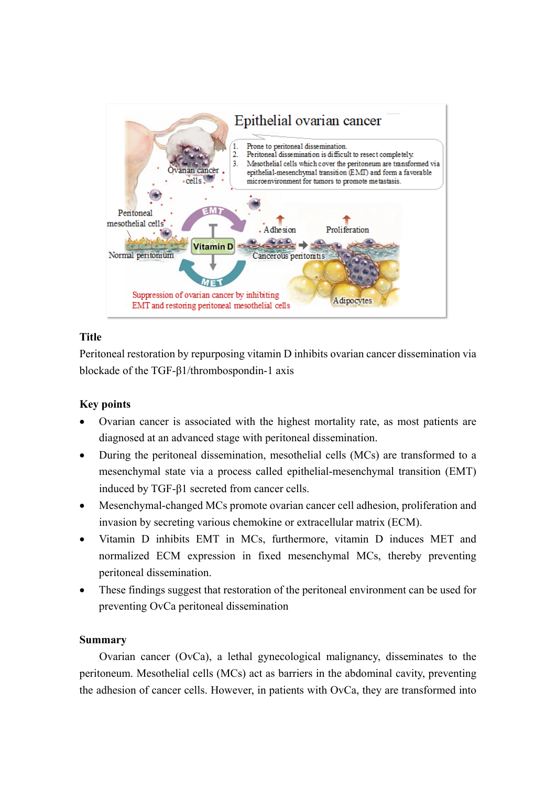

# **Title**

Peritoneal restoration by repurposing vitamin D inhibits ovarian cancer dissemination via blockade of the TGF-β1/thrombospondin-1 axis

## **Key points**

- Ovarian cancer is associated with the highest mortality rate, as most patients are diagnosed at an advanced stage with peritoneal dissemination.
- During the peritoneal dissemination, mesothelial cells (MCs) are transformed to a mesenchymal state via a process called epithelial-mesenchymal transition (EMT) induced by TGF-β1 secreted from cancer cells.
- Mesenchymal-changed MCs promote ovarian cancer cell adhesion, proliferation and invasion by secreting various chemokine or extracellular matrix (ECM).
- Vitamin D inhibits EMT in MCs, furthermore, vitamin D induces MET and normalized ECM expression in fixed mesenchymal MCs, thereby preventing peritoneal dissemination.
- These findings suggest that restoration of the peritoneal environment can be used for preventing OvCa peritoneal dissemination

## **Summary**

Ovarian cancer (OvCa), a lethal gynecological malignancy, disseminates to the peritoneum. Mesothelial cells (MCs) act as barriers in the abdominal cavity, preventing the adhesion of cancer cells. However, in patients with OvCa, they are transformed into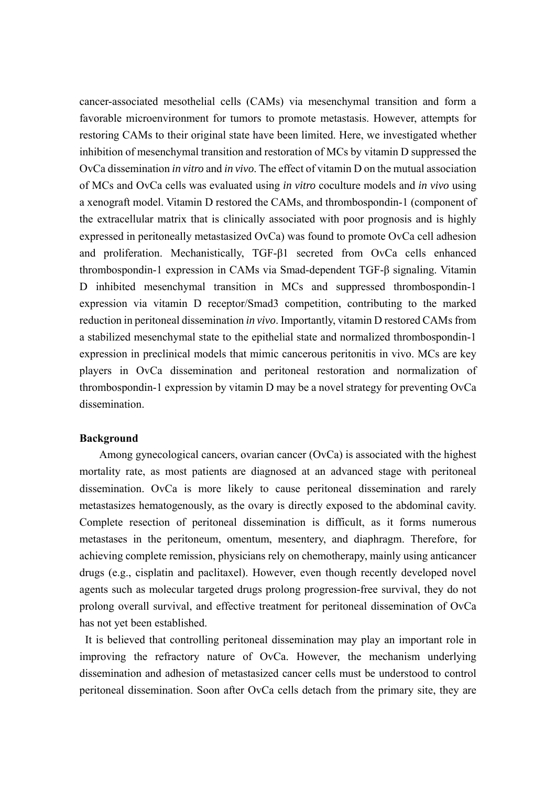cancer-associated mesothelial cells (CAMs) via mesenchymal transition and form a favorable microenvironment for tumors to promote metastasis. However, attempts for restoring CAMs to their original state have been limited. Here, we investigated whether inhibition of mesenchymal transition and restoration of MCs by vitamin D suppressed the OvCa dissemination *in vitro* and *in vivo*. The effect of vitamin D on the mutual association of MCs and OvCa cells was evaluated using *in vitro* coculture models and *in vivo* using a xenograft model. Vitamin D restored the CAMs, and thrombospondin-1 (component of the extracellular matrix that is clinically associated with poor prognosis and is highly expressed in peritoneally metastasized OvCa) was found to promote OvCa cell adhesion and proliferation. Mechanistically, TGF-β1 secreted from OvCa cells enhanced thrombospondin-1 expression in CAMs via Smad-dependent TGF-β signaling. Vitamin D inhibited mesenchymal transition in MCs and suppressed thrombospondin-1 expression via vitamin D receptor/Smad3 competition, contributing to the marked reduction in peritoneal dissemination *in vivo*. Importantly, vitamin D restored CAMs from a stabilized mesenchymal state to the epithelial state and normalized thrombospondin-1 expression in preclinical models that mimic cancerous peritonitis in vivo. MCs are key players in OvCa dissemination and peritoneal restoration and normalization of thrombospondin-1 expression by vitamin D may be a novel strategy for preventing OvCa dissemination.

#### **Background**

Among gynecological cancers, ovarian cancer (OvCa) is associated with the highest mortality rate, as most patients are diagnosed at an advanced stage with peritoneal dissemination. OvCa is more likely to cause peritoneal dissemination and rarely metastasizes hematogenously, as the ovary is directly exposed to the abdominal cavity. Complete resection of peritoneal dissemination is difficult, as it forms numerous metastases in the peritoneum, omentum, mesentery, and diaphragm. Therefore, for achieving complete remission, physicians rely on chemotherapy, mainly using anticancer drugs (e.g., cisplatin and paclitaxel). However, even though recently developed novel agents such as molecular targeted drugs prolong progression-free survival, they do not prolong overall survival, and effective treatment for peritoneal dissemination of OvCa has not yet been established.

It is believed that controlling peritoneal dissemination may play an important role in improving the refractory nature of OvCa. However, the mechanism underlying dissemination and adhesion of metastasized cancer cells must be understood to control peritoneal dissemination. Soon after OvCa cells detach from the primary site, they are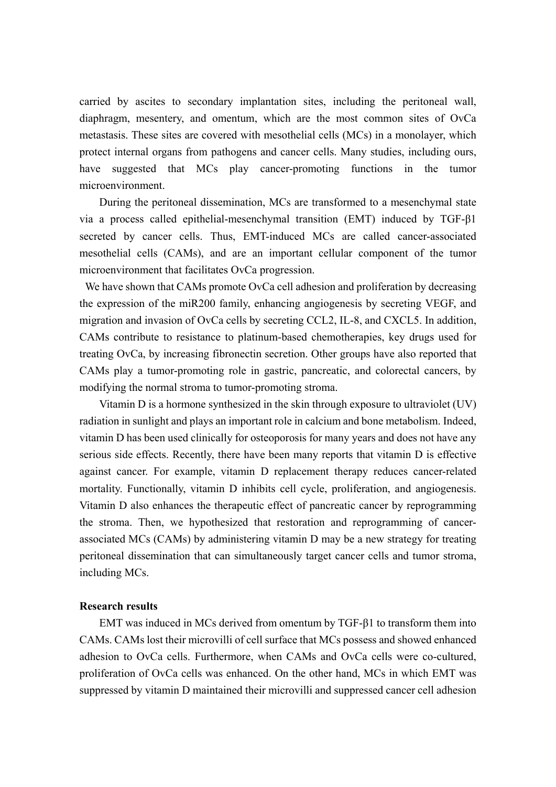carried by ascites to secondary implantation sites, including the peritoneal wall, diaphragm, mesentery, and omentum, which are the most common sites of OvCa metastasis. These sites are covered with mesothelial cells (MCs) in a monolayer, which protect internal organs from pathogens and cancer cells. Many studies, including ours, have suggested that MCs play cancer-promoting functions in the tumor microenvironment.

During the peritoneal dissemination, MCs are transformed to a mesenchymal state via a process called epithelial-mesenchymal transition (EMT) induced by TGF-β1 secreted by cancer cells. Thus, EMT-induced MCs are called cancer-associated mesothelial cells (CAMs), and are an important cellular component of the tumor microenvironment that facilitates OvCa progression.

We have shown that CAMs promote OvCa cell adhesion and proliferation by decreasing the expression of the miR200 family, enhancing angiogenesis by secreting VEGF, and migration and invasion of OvCa cells by secreting CCL2, IL-8, and CXCL5. In addition, CAMs contribute to resistance to platinum-based chemotherapies, key drugs used for treating OvCa, by increasing fibronectin secretion. Other groups have also reported that CAMs play a tumor-promoting role in gastric, pancreatic, and colorectal cancers, by modifying the normal stroma to tumor-promoting stroma.

Vitamin D is a hormone synthesized in the skin through exposure to ultraviolet (UV) radiation in sunlight and plays an important role in calcium and bone metabolism. Indeed, vitamin D has been used clinically for osteoporosis for many years and does not have any serious side effects. Recently, there have been many reports that vitamin D is effective against cancer. For example, vitamin D replacement therapy reduces cancer-related mortality. Functionally, vitamin D inhibits cell cycle, proliferation, and angiogenesis. Vitamin D also enhances the therapeutic effect of pancreatic cancer by reprogramming the stroma. Then, we hypothesized that restoration and reprogramming of cancerassociated MCs (CAMs) by administering vitamin D may be a new strategy for treating peritoneal dissemination that can simultaneously target cancer cells and tumor stroma, including MCs.

#### **Research results**

EMT was induced in MCs derived from omentum by TGF-β1 to transform them into CAMs. CAMs lost their microvilli of cell surface that MCs possess and showed enhanced adhesion to OvCa cells. Furthermore, when CAMs and OvCa cells were co-cultured, proliferation of OvCa cells was enhanced. On the other hand, MCs in which EMT was suppressed by vitamin D maintained their microvilli and suppressed cancer cell adhesion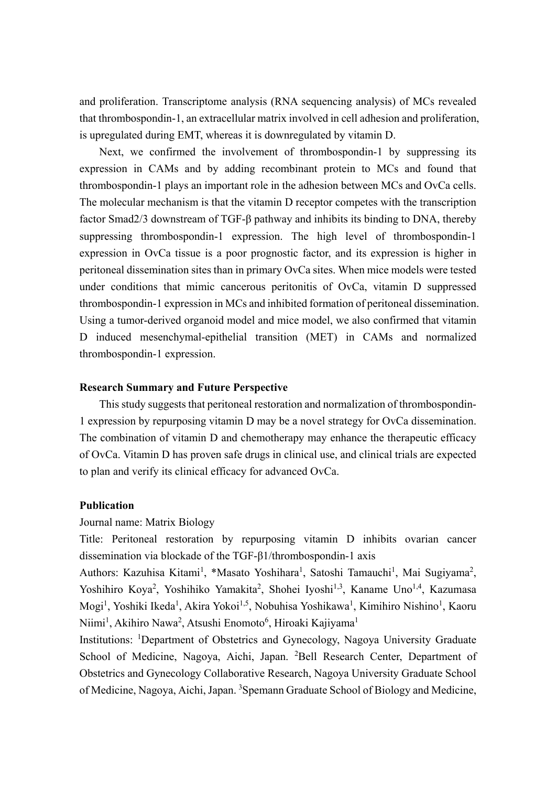and proliferation. Transcriptome analysis (RNA sequencing analysis) of MCs revealed that thrombospondin-1, an extracellular matrix involved in cell adhesion and proliferation, is upregulated during EMT, whereas it is downregulated by vitamin D.

Next, we confirmed the involvement of thrombospondin-1 by suppressing its expression in CAMs and by adding recombinant protein to MCs and found that thrombospondin-1 plays an important role in the adhesion between MCs and OvCa cells. The molecular mechanism is that the vitamin D receptor competes with the transcription factor Smad2/3 downstream of TGF-β pathway and inhibits its binding to DNA, thereby suppressing thrombospondin-1 expression. The high level of thrombospondin-1 expression in OvCa tissue is a poor prognostic factor, and its expression is higher in peritoneal dissemination sites than in primary OvCa sites. When mice models were tested under conditions that mimic cancerous peritonitis of OvCa, vitamin D suppressed thrombospondin-1 expression in MCs and inhibited formation of peritoneal dissemination. Using a tumor-derived organoid model and mice model, we also confirmed that vitamin D induced mesenchymal-epithelial transition (MET) in CAMs and normalized thrombospondin-1 expression.

### **Research Summary and Future Perspective**

This study suggests that peritoneal restoration and normalization of thrombospondin-1 expression by repurposing vitamin D may be a novel strategy for OvCa dissemination. The combination of vitamin D and chemotherapy may enhance the therapeutic efficacy of OvCa. Vitamin D has proven safe drugs in clinical use, and clinical trials are expected to plan and verify its clinical efficacy for advanced OvCa.

### **Publication**

#### Journal name: Matrix Biology

Title: Peritoneal restoration by repurposing vitamin D inhibits ovarian cancer dissemination via blockade of the TGF-β1/thrombospondin-1 axis

Authors: Kazuhisa Kitami<sup>1</sup>, \*Masato Yoshihara<sup>1</sup>, Satoshi Tamauchi<sup>1</sup>, Mai Sugiyama<sup>2</sup>, Yoshihiro Koya<sup>2</sup>, Yoshihiko Yamakita<sup>2</sup>, Shohei Iyoshi<sup>1,3</sup>, Kaname Uno<sup>1,4</sup>, Kazumasa Mogi<sup>1</sup>, Yoshiki Ikeda<sup>1</sup>, Akira Yokoi<sup>1,5</sup>, Nobuhisa Yoshikawa<sup>1</sup>, Kimihiro Nishino<sup>1</sup>, Kaoru Niimi<sup>1</sup>, Akihiro Nawa<sup>2</sup>, Atsushi Enomoto<sup>6</sup>, Hiroaki Kajiyama<sup>1</sup>

Institutions: <sup>1</sup>Department of Obstetrics and Gynecology, Nagoya University Graduate School of Medicine, Nagoya, Aichi, Japan. <sup>2</sup>Bell Research Center, Department of Obstetrics and Gynecology Collaborative Research, Nagoya University Graduate School of Medicine, Nagoya, Aichi, Japan. <sup>3</sup>Spemann Graduate School of Biology and Medicine,